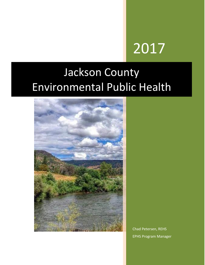# 2017

## Jackson County Environmental Public Health



Chad Petersen, REHS EPHS Program Manager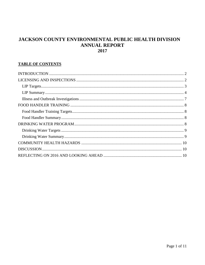#### JACKSON COUNTY ENVIRONMENTAL PUBLIC HEALTH DIVISION **ANNUAL REPORT** 2017

#### **TABLE OF CONTENTS**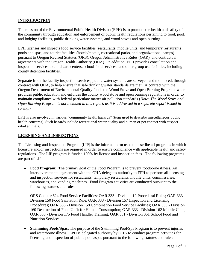#### <span id="page-2-0"></span>**INTRODUCTION**

The mission of the Environmental Public Health Division (EPH) is to promote the health and safety of the community through education and enforcement of public health regulations pertaining to food, pool, and lodging facilities, public drinking water systems, and wood stoves and open burning.

EPH licenses and inspects food service facilities (restaurants, mobile units, and temporary restaurants), pools and spas, and tourist facilities (hotels/motels, recreational parks, and organizational camps) pursuant to Oregon Revised Statutes (ORS), Oregon Administrative Rules (OAR), and contractual agreements with the Oregon Health Authority (OHA). In addition, EPH provides consultation and inspection services to child care centers, school food services, and other group use facilities, including county detention facilities.

Separate from the facility inspection services, public water systems are surveyed and monitored, through contract with OHA, to help ensure that safe drinking water standards are met*.* A contract with the Oregon Department of Environmental Quality funds the Wood Stove and Open Burning Program, which provides public education and enforces the county wood stove and open burning regulations in order to maintain compliance with federal particulate matter air pollution standards (*Note: The Wood Stove and Open Burning Program is not included in this report, as it is addressed in a separate report issued in spring.*)

EPH is also involved in various "community health hazards" (term used to describe miscellaneous public health concerns). Such hazards include recreational water quality and human or pet contact with suspect rabid animals.

#### <span id="page-2-1"></span>**LICENSING AND INSPECTIONS**

The Licensing and Inspection Program (LIP) is the informal term used to describe all programs in which licensure and/or inspections are required in order to ensure compliance with applicable health and safety regulations. The LIP program is funded 100% by license and inspection fees. The following programs are part of LIP:

• Food Program: The primary goal of the Food Program is to prevent foodborne illness. An intergovernmental agreement with the OHA delegates authority to EPH to perform all licensing and inspection services for restaurants, temporary restaurants, mobile units, commissaries, warehouses, and vending machines. Food Program activities are conducted pursuant to the following statutes and rules:

ORS Chapter 624 Food Service Facilities; OAR 333 - Division 12 Procedural Rules; OAR 333 - Division 150 Food Sanitation Rule; OAR 333 - Division 157 Inspection and Licensing Procedures; OAR 333 - Division 158 Combination Food Service Facilities; OAR 333 - Division 160 Destruction of Food Unfit for Human Consumption; OAR 333 - Division 162 Mobile Units; OAR 333 - Division 175 Food Handler Training; OAR 581 - Division 051 School Food and Nutrition Services.

 **Swimming Pools/Spas**: The purpose of the Swimming Pool/Spa Program is to prevent injuries and waterborne illness. EPH is delegated authority by OHA to conduct program activities for licensing and inspection of public pools/spas pursuant to the following statutes and rules: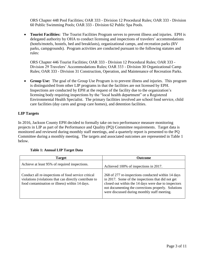ORS Chapter 448 Pool Facilities; OAR 333 - Division 12 Procedural Rules; OAR 333 - Division 60 Public Swimming Pools; OAR 333 - Division 62 Public Spa Pools.

 **Tourist Facilities:** The Tourist Facilities Program serves to prevent illness and injuries. EPH is delegated authority by OHA to conduct licensing and inspections of travelers' accommodations (hotels/motels, hostels, bed and breakfasts), organizational camps, and recreation parks (RV parks, campgrounds). Program activities are conducted pursuant to the following statutes and rules:

ORS Chapter 446 Tourist Facilities; OAR 333 - Division 12 Procedural Rules; OAR 333 - Division 29 Travelers' Accommodations Rules; OAR 333 - Division 30 Organizational Camp Rules; OAR 333 - Division 31 Construction, Operation, and Maintenance of Recreation Parks.

 **Group Use:** The goal of the Group Use Program is to prevent illness and injuries. This program is distinguished from other LIP programs in that the facilities are not licensed by EPH. Inspections are conducted by EPH at the request of the facility due to the organization's licensing body requiring inspections by the "local health department" or a Registered Environmental Health Specialist. The primary facilities involved are school food service, child care facilities (day cares and group care homes), and detention facilities.

#### <span id="page-3-0"></span>**LIP Targets**

In 2016, Jackson County EPH decided to formally take on two performance measure monitoring projects in LIP as part of the Performance and Quality (PQ) Committee requirements. Target data is monitored and reviewed during monthly staff meetings, and a quarterly report is presented to the PQ Committee during a monthly meeting. The targets and associated outcomes are represented in Table 1 below.

<span id="page-3-1"></span>

| <b>Target</b>                                                                                                                                                   | <b>Outcome</b>                                                                                                                                                                                                                                                         |
|-----------------------------------------------------------------------------------------------------------------------------------------------------------------|------------------------------------------------------------------------------------------------------------------------------------------------------------------------------------------------------------------------------------------------------------------------|
| Achieve at least 95% of required inspections.                                                                                                                   | Achieved 100% of inspections in 2017.                                                                                                                                                                                                                                  |
| Conduct all re-inspections of food service critical<br>violations (violations that can directly contribute to<br>food contamination or illness) within 14 days. | 268 of 277 re-inspections conducted within 14 days<br>in 2017. Some of the inspections that did not get<br>closed out within the 14 days were due to inspectors<br>not documenting the corrections properly. Solutions<br>were discussed during monthly staff meeting. |

#### **Table 1: Annual LIP Target Data**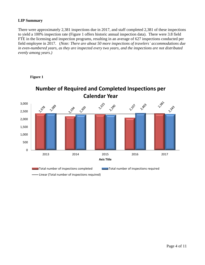#### **LIP Summary**

There were approximately 2,381 inspections due in 2017, and staff completed 2,381 of these inspections to yield a 100% inspection rate (Figure 1 offers historic annual inspection data). There were 3.8 field FTE in the licensing and inspection programs, resulting in an average of 627 inspections conducted per field employee in 2017. (*Note: There are about 50 more inspections of travelers' accommodations due in even-numbered years, as they are inspected every two years, and the inspections are not distributed evenly among years.)* 



**-** Linear (Total number of inspections required)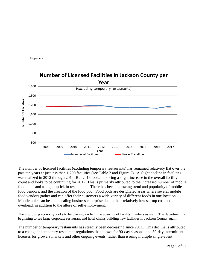



### **Number of Licensed Facilities in Jackson County per**

The number of licensed facilities (excluding temporary restaurants) has remained relatively flat over the past ten years at just less than 1,200 facilities (see Table 2 and Figure 2). A slight decline in facilities was realized in 2012 through 2014. But 2016 looked to bring a slight increase in the overall facility count and looks to be continuing for 2017. This is primarily attributed to the increased number of mobile food units and a slight uptick in restaurants. There has been a growing trend and popularity of mobile food vendors, and the creation of the food pod. Food pods are designated areas where several mobile food vendors gather and can offer their customers a wide variety of different foods in one location. Mobile units can be an appealing business enterprise due to their relatively low startup cost and overhead, in addition to the allure of self-employment.

The improving economy looks to be playing a role in the upswing of facility numbers as well. The department is beginning to see large corporate restaurant and hotel chains building new facilities in Jackson County again.

The number of temporary restaurants has steadily been decreasing since 2011. This decline is attributed to a change in temporary restaurant regulations that allows for 90-day seasonal and 30-day intermittent licenses for growers markets and other ongoing events, rather than issuing multiple single-event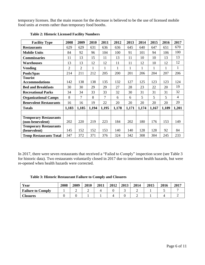temporary licenses. But the main reason for the decrease is believed to be the use of licensed mobile food units at events rather than temporary food booths.

| <b>Facility Type</b>          | 2008  | 2009           | 2010  | 2011         | 2012  | 2013         | 2014         | 2015  | 2016  | 2017           |
|-------------------------------|-------|----------------|-------|--------------|-------|--------------|--------------|-------|-------|----------------|
| <b>Restaurants</b>            | 629   | 629            | 631   | 636          | 636   | 645          | 640          | 647   | 651   | 670            |
| <b>Mobile Units</b>           | 84    | 92             | 96    | 104          | 100   | 91           | 101          | 94    | 106   | 100            |
| <b>Commissaries</b>           | 11    | 13             | 15    | 11           | 13    | 11           | 10           | 10    | 13    | 13             |
| <b>Warehouses</b>             | 13    | 13             | 12    | 12           | 11    | 11           | 12           | 10    | 12    | 12             |
| <b>Vending</b>                | 2     | $\overline{2}$ | 1     | $\mathbf{1}$ | 1     | $\mathbf{1}$ | $\mathbf{1}$ | 1     | 1     | $\mathbf{1}$   |
| Pools/Spas                    | 214   | 211            | 212   | 205          | 200   | 201          | 206          | 204   | 207   | 206            |
| <b>Tourist</b>                |       |                |       |              |       |              |              |       |       |                |
| <b>Accommodations</b>         | 142   | 138            | 138   | 135          | 132   | 127          | 125          | 123   | 123   | 124            |
| <b>Bed and Breakfasts</b>     | 30    | 30             | 29    | 29           | 27    | 28           | 23           | 22    | 20    | 19             |
| <b>Recreational Parks</b>     | 34    | 34             | 33    | 33           | 32    | 30           | 31           | 31    | 31    | 32             |
| <b>Organizational Camps</b>   | 8     | $\overline{7}$ | 8     | 7            | 6     | 6            | 5            | 5     | 5     | $\overline{4}$ |
| <b>Benevolent Restaurants</b> | 16    | 16             | 19    | 22           | 20    | 20           | 20           | 20    | 20    | 20             |
| <b>Totals</b>                 | 1,183 | 1,185          | 1,194 | 1,195        | 1,178 | 1,171        | 1,174        | 1,167 | 1,189 | 1,201          |
|                               |       |                |       |              |       |              |              |       |       |                |
| <b>Temporary Restaurants</b>  |       |                |       |              |       |              |              |       |       |                |
| (non-benevolent)              | 202   | 220            | 219   | 223          | 184   | 202          | 180          | 176   | 153   | 149            |
| <b>Temporary Restaurants</b>  |       |                |       |              |       |              |              |       |       |                |
| (benevolent)                  | 145   | 152            | 152   | 153          | 140   | 140          | 128          | 128   | 92    | 84             |
| <b>Temp Restaurants Total</b> | 347   | 372            | 371   | 376          | 324   | 342          | 308          | 304   | 245   | 233            |

**Table 2: Historic Licensed Facility Numbers**

In 2017, there were seven restaurants that received a "Failed to Comply" inspection score (see Table 3 for historic data). Two restaurants voluntarily closed in 2017 due to imminent health hazards, but were re-opened when health hazards were corrected.

| Table 3: Historic Restaurant Failure to Comply and Closures |  |  |  |  |  |  |  |  |
|-------------------------------------------------------------|--|--|--|--|--|--|--|--|
|-------------------------------------------------------------|--|--|--|--|--|--|--|--|

| Year                     | 2008 | 2009 | 2010 | 2011 | 2012 | 2013 | 2014 | 2015 | 2016 | 2017 |
|--------------------------|------|------|------|------|------|------|------|------|------|------|
| <b>Failure to Comply</b> |      | ∽    | ∽    |      |      | ັ    | ∽    |      |      |      |
| <b>Closures</b>          |      |      |      |      |      |      | ∽    |      |      |      |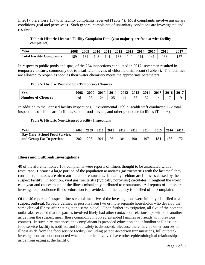In 2017 there were 157 total facility complaints received (Table 4). Most complaints involve unsanitary conditions (real and perceived). Such general complaints of unsanitary conditions are investigated and resolved.

#### **Table 4: Historic Licensed Facility Complaint Data (vast majority are food service facility complaints)**

| Year                             | 2008 | <b>2009</b> | 2010 | 2011 |     | $2012$   2013   2014   2015 |     |       | 2016 | 2017 |
|----------------------------------|------|-------------|------|------|-----|-----------------------------|-----|-------|------|------|
| <b>Total Facility Complaints</b> | 189  | 134         | 148  | 141  | 138 | 140                         | 161 | l 4 1 | .38  |      |

In respect to public pools and spas, of the 264 inspections conducted in 2017, seventeen resulted in temporary closure, commonly due to insufficient levels of chlorine disinfectant (Table 5). The facilities are allowed to reopen as soon as their water chemistry meets the appropriate parameters.

#### **Table 5: Historic Pool and Spa Temporary Closures**

| Year                      | 2008 | 2009 | 2010 | 2011 | 2012 | 2013 | 2014 | 2015 | 2016 | $201^{\circ}$ |
|---------------------------|------|------|------|------|------|------|------|------|------|---------------|
| <b>Number of Closures</b> | nd   | 28   | 24   | ັ    |      | 36   |      | 14   |      | 19            |

In addition to the licensed facility inspections, Environmental Public Health staff conducted 172 total inspections of child care facilities, school food service, and other group use facilities (Table 6).

#### **Table 6: Historic Non-Licensed Facility Inspections**

| Year                           | 2008 | 2009 | 2010 | 2011 | 2012 | 2013 | 2014      | 2015 | 2016 | 2017        |
|--------------------------------|------|------|------|------|------|------|-----------|------|------|-------------|
| Day Care, School Food Service, |      |      |      |      |      |      |           |      |      |             |
| and Group Use Inspections      | 202  | 205  | 204  | 96   | 84   | 190  | <b>Q7</b> | ' 84 | 88   | $7^{\circ}$ |

#### <span id="page-7-0"></span>**Illness and Outbreak Investigations**

40 of the aforementioned 157 complaints were reports of illness thought to be associated with a restaurant. Because a large portion of the population associates gastroenteritis with the last meal they consumed, illnesses are often attributed to restaurants. In reality, seldom are illnesses caused by the suspect facility. In addition, viral gastroenteritis (typically norovirus) circulates throughout the world each year and causes much of the illness mistakenly attributed to restaurants. All reports of illness are investigated, foodborne illness education is provided, and the facility is notified of the complaint.

Of the 40 reports of suspect illness complaints, five of the investigations were initially identified as a suspect outbreak (broadly defined as persons from two or more separate households who develop the same clinical illness after eating at the same place). Upon further investigation, all five of the potential outbreaks revealed that the parties involved likely had other contacts or relationships with one another aside from the suspect meal (these commonly involved extended families or friends with previous contact). In such circumstances, the complainant is provided education about foodborne illness, the food service facility is notified, and food safety is discussed. Because there may be other sources of illness aside from the food service facility (including person-to-person transmission), full outbreak investigations are not conducted when the parties involved have other epidemiological relationships aside from eating at the facility.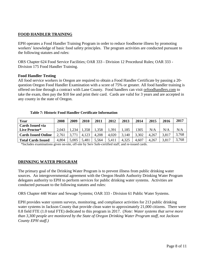#### <span id="page-8-0"></span>**FOOD HANDLER TRAINING**

EPH operates a Food Handler Training Program in order to reduce foodborne illness by promoting workers' knowledge of basic food safety principles. The program activities are conducted pursuant to the following statutes and rules:

ORS Chapter 624 Food Service Facilities; OAR 333 - Division 12 Procedural Rules; OAR 333 - Division 175 Food Handler Training.

#### <span id="page-8-1"></span>**Food Handler Testing**

All food service workers in Oregon are required to obtain a Food Handler Certificate by passing a 20 question Oregon Food Handler Examination with a score of 75% or greater. All food handler training is offered on-line through a contract with Lane County. Food handlers can visit orfoodhandlers.com to take the exam, then pay the \$10 fee and print their card. Cards are valid for 3 years and are accepted in any county in the state of Oregon.

#### <span id="page-8-2"></span>**Table 7: Historic Food Handler Certificate Information**

| Year                       | 2008  | 2009  | <b>2010</b> | 2011  | 2012  | 2013  | 2014  | 2015  | 2016  | 2017  |
|----------------------------|-------|-------|-------------|-------|-------|-------|-------|-------|-------|-------|
| <b>Cards Issued via</b>    |       |       |             |       |       |       |       |       |       |       |
| Live Proctor*              | 2,043 | 1,234 | .358        | .358  | .391  | .185  | 1305  | N/A   | N/A   | N/A   |
| <b>Cards Issued Online</b> | 2,761 | 3,77  | 4,123       | 4,208 | 4,020 | 3,140 | 3,302 | 4,267 | 3,817 | 3,768 |
| <b>Total Cards Issued</b>  | 4,804 | 5,005 | 5,481       | 5,564 | 5,411 | 4,325 | 4,607 | 4,267 | 3,817 | 3.768 |

\*Includes examinations given on-site, off-site by Serv Safe-certified staff, and re-issued cards.

#### **DRINKING WATER PROGRAM**

The primary goal of the Drinking Water Program is to prevent illness from public drinking water sources. An intergovernmental agreement with the Oregon Health Authority Drinking Water Program delegates authority to EPH to perform services for public drinking water systems. Activities are conducted pursuant to the following statutes and rules:

ORS Chapter 448 Water and Sewage Systems; OAR 333 - Division 61 Public Water Systems.

EPH provides water system surveys, monitoring, and compliance activities for 213 public drinking water systems in Jackson County that provide clean water to approximately 21,000 citizens. There were 0.8 field FTE (1.0 total FTE) dedicated to this program in 2017. (*Note: Water systems that serve more than 3,300 people are monitored by the State of Oregon Drinking Water Program staff, not Jackson County EPH staff.)*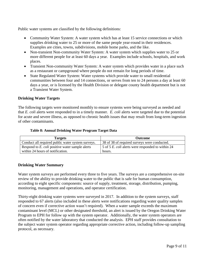Public water systems are classified by the following definitions:

- Community Water System: A water system which has at least 15 service connections or which supplies drinking water to 25 or more of the same people year-round in their residences. Examples are cities, towns, subdivisions, mobile home parks, and the like.
- Non-transient Non-community Water System: A water system which supplies water to 25 or more different people for at least 60 days a year. Examples include schools, hospitals, and work places.
- Transient Non-community Water System: A water system which provides water in a place such as a restaurant or campground where people do not remain for long periods of time.
- State Regulated Water System: Water systems which provide water to small residential communities between four and 14 connections, or serves from ten to 24 persons a day at least 60 days a year, or is licensed by the Health Division or delegate county health department but is not a Transient Water System.

#### <span id="page-9-0"></span>**Drinking Water Targets**

The following targets were monitored monthly to ensure systems were being surveyed as needed and that *E. coli* alerts were responded to in a timely manner. *E. coli* alerts were targeted due to the potential for acute and severe illness, as opposed to chronic health issues that may result from long-term ingestion of other contaminants.

#### **Table 8: Annual Drinking Water Program Target Data**

| <b>Targets</b>                                    | <b>Outcome</b>                                    |
|---------------------------------------------------|---------------------------------------------------|
| Conduct all required public water system surveys. | 38 of 38 of required surveys were conducted.      |
| Respond to E. coli positive water sample alerts   | 5 of 5 E. coli alerts were responded to within 24 |
| within 24 hours of notification.                  | hours.                                            |

#### <span id="page-9-1"></span>**Drinking Water Summary**

Water system surveys are performed every three to five years. The surveys are a comprehensive on-site review of the ability to provide drinking water to the public that is safe for human consumption, according to eight specific components: source of supply, treatment, storage, distribution, pumping, monitoring, management and operations, and operator certification.

Thirty-eight drinking water systems were surveyed in 2017. In addition to the system surveys, staff responded to 67 alerts (also included in these alerts were notifications regarding water quality samples of concern even if corrective action wasn't required). When a water sample exceeds the maximum contaminant level (MCL) or other designated threshold, an alert is issued by the Oregon Drinking Water Program to EPH for follow up with the system operator. Additionally, the water system operators are often notified by the water laboratory that conducted the analysis. EPH staff provides consultation to the subject water system operator regarding appropriate corrective action, including follow-up sampling protocol, as necessary.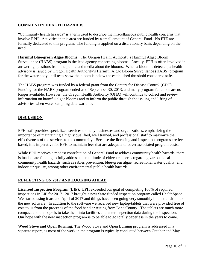#### <span id="page-10-0"></span>**COMMUNITY HEALTH HAZARDS**

"Community health hazards" is a term used to describe the miscellaneous public health concerns that involve EPH. Activities in this area are funded by a small amount of General Fund. No FTE are formally dedicated to this program. The funding is applied on a discretionary basis depending on the need.

**Harmful Blue-green Algae Blooms:** The Oregon Health Authority's Harmful Algae Bloom Surveillance (HABS) program is the lead agency concerning blooms. Locally, EPH is often involved in answering questions from the public and media about the blooms. When a bloom is detected, a health advisory is issued by Oregon Health Authority's Harmful Algae Bloom Surveillance (HABS) program for the water body until tests show the bloom is below the established threshold considered safe.

The HABS program was funded by a federal grant from the Centers for Disease Control (CDC). Funding for the HABS program ended as of September 30, 2013, and many program functions are no longer available. However, the Oregon Health Authority (OHA) will continue to collect and review information on harmful algae blooms and to inform the public through the issuing and lifting of advisories when water sampling data warrants.

#### <span id="page-10-1"></span>**DISCUSSION**

EPH staff provides specialized services to many businesses and organizations, emphasizing the importance of maintaining a highly qualified, well trained, and professional staff to maximize the effectiveness of the services to the community. Because the licensing and inspection programs are feebased, it is imperative for EPH to maintain fees that are adequate to cover associated program costs.

While EPH receives a modest contribution of General Fund to address community health hazards, there is inadequate funding to fully address the multitude of citizen concerns regarding various local community health hazards, such as rabies prevention, blue-green algae, recreational water quality, and indoor air quality, among other environmental public health hazards.

#### <span id="page-10-2"></span>**REFLECTING ON 2017 AND LOOKING AHEAD**

**Licensed Inspection Program (LIP):** EPH exceeded our goal of completing 100% of required inspections in LIP for 2017. 2017 brought a new State funded inspection program called HealthSpace. We started using it around April of 2017 and things have been going very smoothly in the transition to the new software. In addition to the software we received new laptop/tablets that were provided free of cost to us from the proceeds of the food handler testing from Lane County. The tablets are much more compact and the hope is to take them into facilities and enter inspection data during the inspection. Our hope with the new inspection program is to be able to go totally paperless in the years to come.

**Wood Stove and Open Burning:** The Wood Stove and Open Burning program is addressed in a separate report, as most of the work in the program is typically conducted between October and May.